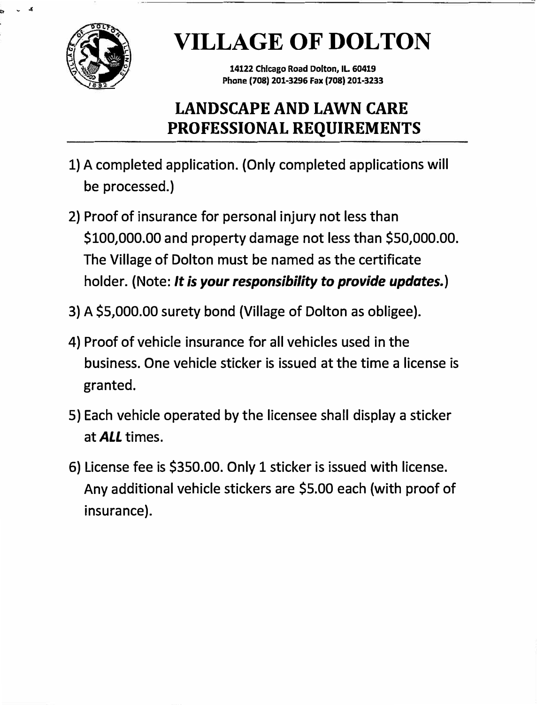

 $\mathbf{v} \times \mathbf{r}$ 

# **VILLAGE OF DOLTON**

**14122 Chicago Road Dolton, IL 60419 Phone (708) 201-3296 Fax (708) 201-3233** 

### **LANDSCAPE AND LAWN CARE PROFESSIONAL REQUIREMENTS**

- **1) A completed application. (Only completed applications will be processed.)**
- **2) Proof of insurance for personal injury not less than \$100,000.00 and property damage not less than \$50,000.00. The Village of Dolton must be named as the certificate holder. (Note:** *It is your responsibility to provide updates.)*
- **3) A \$5,000.00 surety bond (Village of Dolton as obligee).**
- **4) Proof of vehicle insurance for all vehicles used in the business. One vehicle sticker is issued at the time a license is granted.**
- **5) Each vehicle operated by the licensee shall display a sticker at** *ALL* **times.**
- **6) License fee is \$350.00. Only 1 sticker is issued with license. Any additional vehicle stickers are \$5.00 each (with proof of insurance).**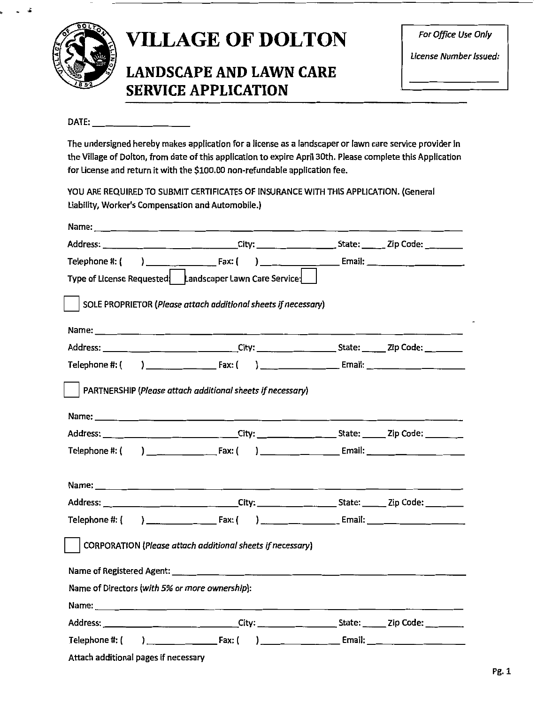

#### *CAN* **VILLAGE OF DOLTON** *Por Office Use Only*  $\sum_{\text{License Number issued:}}$

#### **LANDSCAPE AND LAWN CARE SERVICE APPLICATION**

#### DATE:

The undersigned hereby makes application for a license as a landscaper or lawn care service provider in the Village of Dolton, from date of this application to expire April 30th. Please complete this Application for License and return it with the \$100.00 non-refundable application fee.

YOU ARE REQUIRED TO SUBMIT CERTIFICATES OF INSURANCE WITH THIS APPLICATION. (General Liability, Worker's Compensation and Automobile.)

| Type of License Requested   Landscaper Lawn Care Service:                                                 |  |  |
|-----------------------------------------------------------------------------------------------------------|--|--|
| SOLE PROPRIETOR (Please attach additional sheets if necessary)                                            |  |  |
|                                                                                                           |  |  |
|                                                                                                           |  |  |
|                                                                                                           |  |  |
| PARTNERSHIP (Please attach additional sheets if necessary)                                                |  |  |
|                                                                                                           |  |  |
| Address: ______________________________City: _______________________State: _______Zip Code: _______       |  |  |
|                                                                                                           |  |  |
|                                                                                                           |  |  |
| Address: _______________________________City: _______________________State: _______Zip Code: ____________ |  |  |
|                                                                                                           |  |  |
| CORPORATION (Please attach additional sheets if necessary)                                                |  |  |
|                                                                                                           |  |  |
| Name of Directors (with 5% or more ownership):                                                            |  |  |
|                                                                                                           |  |  |
|                                                                                                           |  |  |
|                                                                                                           |  |  |
| Attach additional pages if necessary                                                                      |  |  |